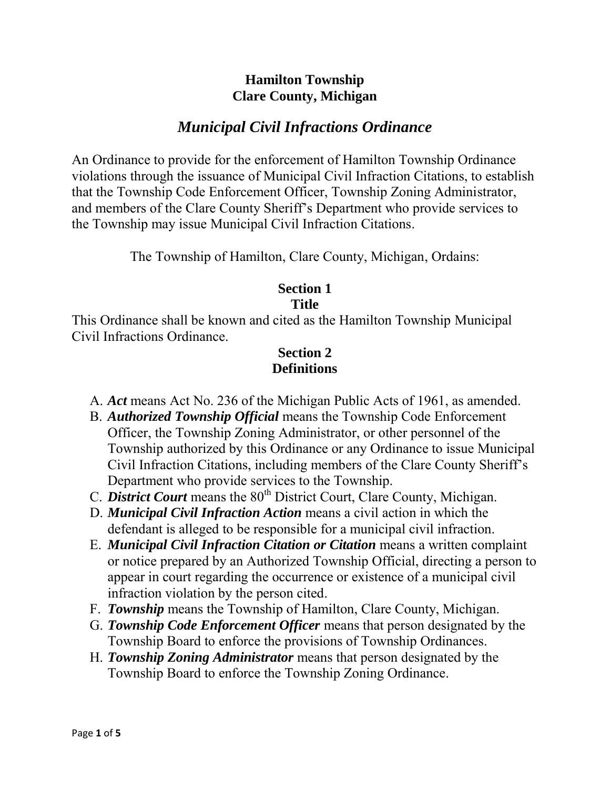# **Hamilton Township Clare County, Michigan**

# *Municipal Civil Infractions Ordinance*

An Ordinance to provide for the enforcement of Hamilton Township Ordinance violations through the issuance of Municipal Civil Infraction Citations, to establish that the Township Code Enforcement Officer, Township Zoning Administrator, and members of the Clare County Sheriff's Department who provide services to the Township may issue Municipal Civil Infraction Citations.

The Township of Hamilton, Clare County, Michigan, Ordains:

#### **Section 1 Title**

This Ordinance shall be known and cited as the Hamilton Township Municipal Civil Infractions Ordinance.

# **Section 2 Definitions**

- A. *Act* means Act No. 236 of the Michigan Public Acts of 1961, as amended.
- B. *Authorized Township Official* means the Township Code Enforcement Officer, the Township Zoning Administrator, or other personnel of the Township authorized by this Ordinance or any Ordinance to issue Municipal Civil Infraction Citations, including members of the Clare County Sheriff's Department who provide services to the Township.
- C. *District Court* means the 80<sup>th</sup> District Court, Clare County, Michigan.
- D. *Municipal Civil Infraction Action* means a civil action in which the defendant is alleged to be responsible for a municipal civil infraction.
- E. *Municipal Civil Infraction Citation or Citation* means a written complaint or notice prepared by an Authorized Township Official, directing a person to appear in court regarding the occurrence or existence of a municipal civil infraction violation by the person cited.
- F. *Township* means the Township of Hamilton, Clare County, Michigan.
- G. *Township Code Enforcement Officer* means that person designated by the Township Board to enforce the provisions of Township Ordinances.
- H. *Township Zoning Administrator* means that person designated by the Township Board to enforce the Township Zoning Ordinance.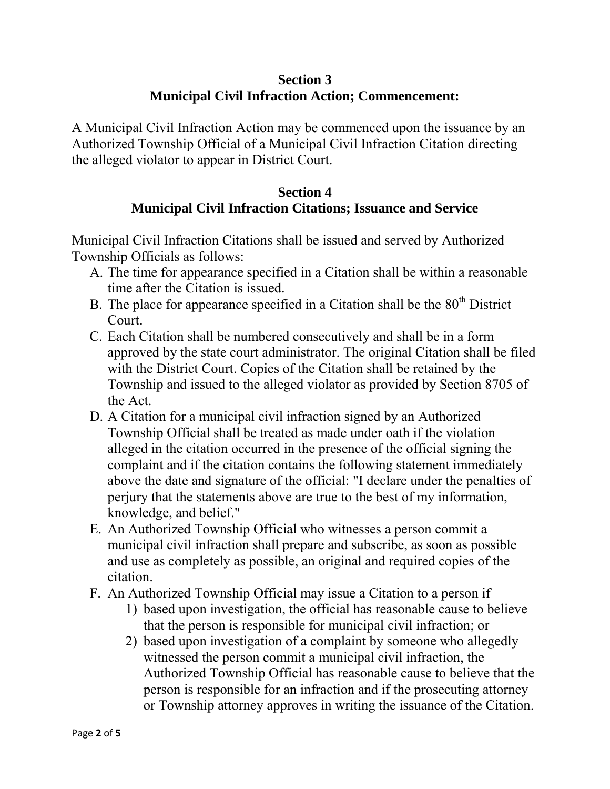# **Section 3 Municipal Civil Infraction Action; Commencement:**

A Municipal Civil Infraction Action may be commenced upon the issuance by an Authorized Township Official of a Municipal Civil Infraction Citation directing the alleged violator to appear in District Court.

#### **Section 4 Municipal Civil Infraction Citations; Issuance and Service**

Municipal Civil Infraction Citations shall be issued and served by Authorized Township Officials as follows:

- A. The time for appearance specified in a Citation shall be within a reasonable time after the Citation is issued.
- B. The place for appearance specified in a Citation shall be the  $80<sup>th</sup>$  District Court.
- C. Each Citation shall be numbered consecutively and shall be in a form approved by the state court administrator. The original Citation shall be filed with the District Court. Copies of the Citation shall be retained by the Township and issued to the alleged violator as provided by Section 8705 of the Act.
- D. A Citation for a municipal civil infraction signed by an Authorized Township Official shall be treated as made under oath if the violation alleged in the citation occurred in the presence of the official signing the complaint and if the citation contains the following statement immediately above the date and signature of the official: "I declare under the penalties of perjury that the statements above are true to the best of my information, knowledge, and belief."
- E. An Authorized Township Official who witnesses a person commit a municipal civil infraction shall prepare and subscribe, as soon as possible and use as completely as possible, an original and required copies of the citation.
- F. An Authorized Township Official may issue a Citation to a person if
	- 1) based upon investigation, the official has reasonable cause to believe that the person is responsible for municipal civil infraction; or
	- 2) based upon investigation of a complaint by someone who allegedly witnessed the person commit a municipal civil infraction, the Authorized Township Official has reasonable cause to believe that the person is responsible for an infraction and if the prosecuting attorney or Township attorney approves in writing the issuance of the Citation.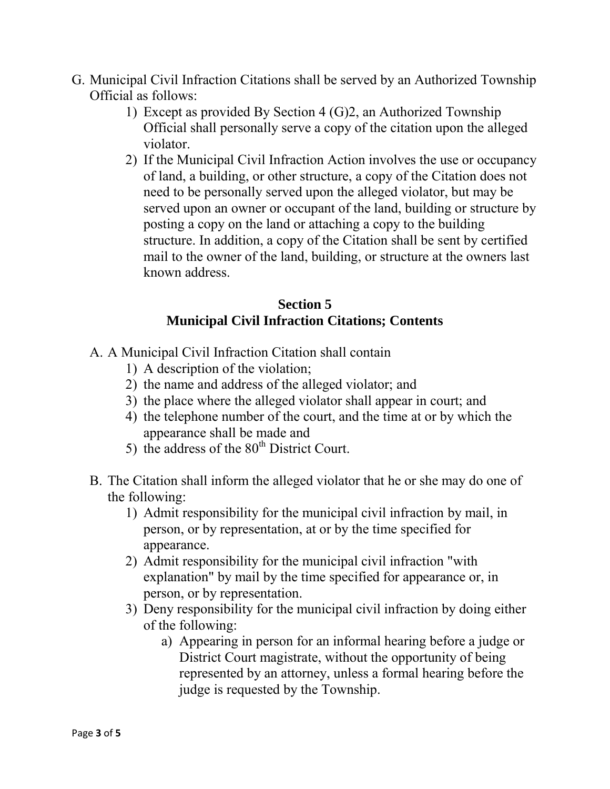- G. Municipal Civil Infraction Citations shall be served by an Authorized Township Official as follows:
	- 1) Except as provided By Section 4 (G)2, an Authorized Township Official shall personally serve a copy of the citation upon the alleged violator.
	- 2) If the Municipal Civil Infraction Action involves the use or occupancy of land, a building, or other structure, a copy of the Citation does not need to be personally served upon the alleged violator, but may be served upon an owner or occupant of the land, building or structure by posting a copy on the land or attaching a copy to the building structure. In addition, a copy of the Citation shall be sent by certified mail to the owner of the land, building, or structure at the owners last known address.

# **Section 5 Municipal Civil Infraction Citations; Contents**

- A. A Municipal Civil Infraction Citation shall contain
	- 1) A description of the violation;
	- 2) the name and address of the alleged violator; and
	- 3) the place where the alleged violator shall appear in court; and
	- 4) the telephone number of the court, and the time at or by which the appearance shall be made and
	- 5) the address of the  $80<sup>th</sup>$  District Court.
- B. The Citation shall inform the alleged violator that he or she may do one of the following:
	- 1) Admit responsibility for the municipal civil infraction by mail, in person, or by representation, at or by the time specified for appearance.
	- 2) Admit responsibility for the municipal civil infraction "with explanation" by mail by the time specified for appearance or, in person, or by representation.
	- 3) Deny responsibility for the municipal civil infraction by doing either of the following:
		- a) Appearing in person for an informal hearing before a judge or District Court magistrate, without the opportunity of being represented by an attorney, unless a formal hearing before the judge is requested by the Township.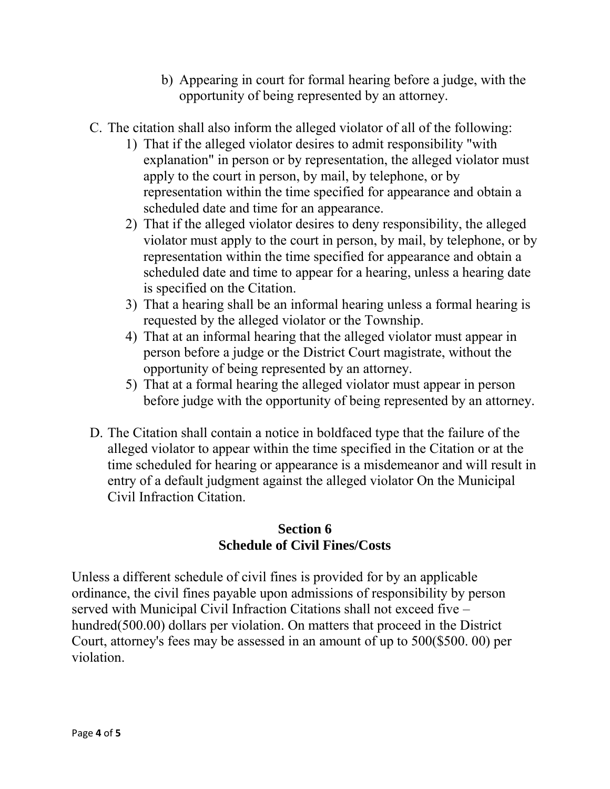- b) Appearing in court for formal hearing before a judge, with the opportunity of being represented by an attorney.
- C. The citation shall also inform the alleged violator of all of the following:
	- 1) That if the alleged violator desires to admit responsibility "with explanation" in person or by representation, the alleged violator must apply to the court in person, by mail, by telephone, or by representation within the time specified for appearance and obtain a scheduled date and time for an appearance.
	- 2) That if the alleged violator desires to deny responsibility, the alleged violator must apply to the court in person, by mail, by telephone, or by representation within the time specified for appearance and obtain a scheduled date and time to appear for a hearing, unless a hearing date is specified on the Citation.
	- 3) That a hearing shall be an informal hearing unless a formal hearing is requested by the alleged violator or the Township.
	- 4) That at an informal hearing that the alleged violator must appear in person before a judge or the District Court magistrate, without the opportunity of being represented by an attorney.
	- 5) That at a formal hearing the alleged violator must appear in person before judge with the opportunity of being represented by an attorney.
- D. The Citation shall contain a notice in boldfaced type that the failure of the alleged violator to appear within the time specified in the Citation or at the time scheduled for hearing or appearance is a misdemeanor and will result in entry of a default judgment against the alleged violator On the Municipal Civil Infraction Citation.

# **Section 6 Schedule of Civil Fines/Costs**

Unless a different schedule of civil fines is provided for by an applicable ordinance, the civil fines payable upon admissions of responsibility by person served with Municipal Civil Infraction Citations shall not exceed five – hundred(500.00) dollars per violation. On matters that proceed in the District Court, attorney's fees may be assessed in an amount of up to 500(\$500. 00) per violation.